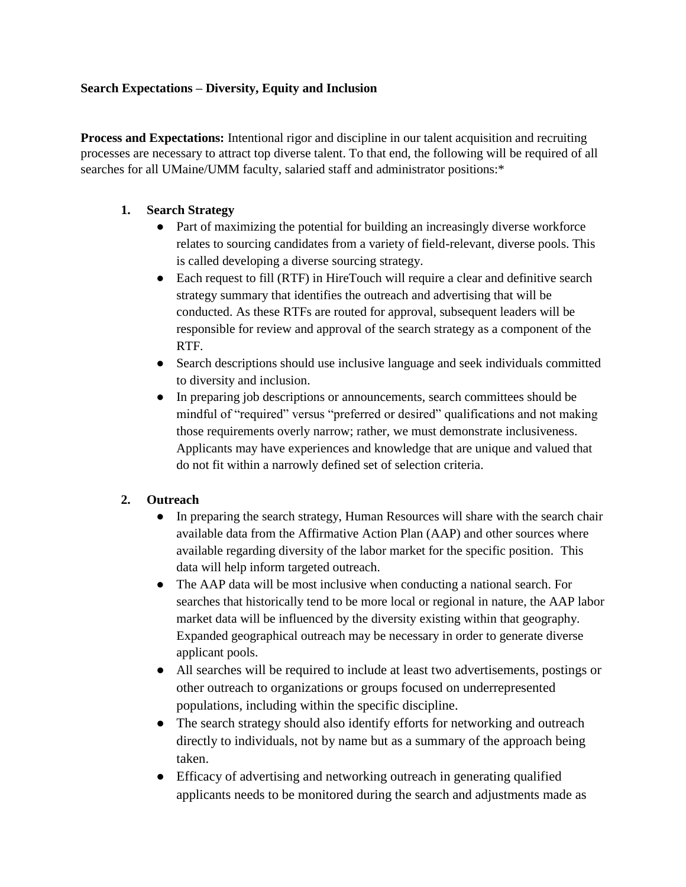### **Search Expectations – Diversity, Equity and Inclusion**

**Process and Expectations:** Intentional rigor and discipline in our talent acquisition and recruiting processes are necessary to attract top diverse talent. To that end, the following will be required of all searches for all UMaine/UMM faculty, salaried staff and administrator positions:\*

### **1. Search Strategy**

- Part of maximizing the potential for building an increasingly diverse workforce relates to sourcing candidates from a variety of field-relevant, diverse pools. This is called developing a diverse sourcing strategy.
- Each request to fill (RTF) in HireTouch will require a clear and definitive search strategy summary that identifies the outreach and advertising that will be conducted. As these RTFs are routed for approval, subsequent leaders will be responsible for review and approval of the search strategy as a component of the RTF.
- Search descriptions should use inclusive language and seek individuals committed to diversity and inclusion.
- In preparing job descriptions or announcements, search committees should be mindful of "required" versus "preferred or desired" qualifications and not making those requirements overly narrow; rather, we must demonstrate inclusiveness. Applicants may have experiences and knowledge that are unique and valued that do not fit within a narrowly defined set of selection criteria.

## **2. Outreach**

- In preparing the search strategy, Human Resources will share with the search chair available data from the Affirmative Action Plan (AAP) and other sources where available regarding diversity of the labor market for the specific position. This data will help inform targeted outreach.
- The AAP data will be most inclusive when conducting a national search. For searches that historically tend to be more local or regional in nature, the AAP labor market data will be influenced by the diversity existing within that geography. Expanded geographical outreach may be necessary in order to generate diverse applicant pools.
- All searches will be required to include at least two advertisements, postings or other outreach to organizations or groups focused on underrepresented populations, including within the specific discipline.
- The search strategy should also identify efforts for networking and outreach directly to individuals, not by name but as a summary of the approach being taken.
- Efficacy of advertising and networking outreach in generating qualified applicants needs to be monitored during the search and adjustments made as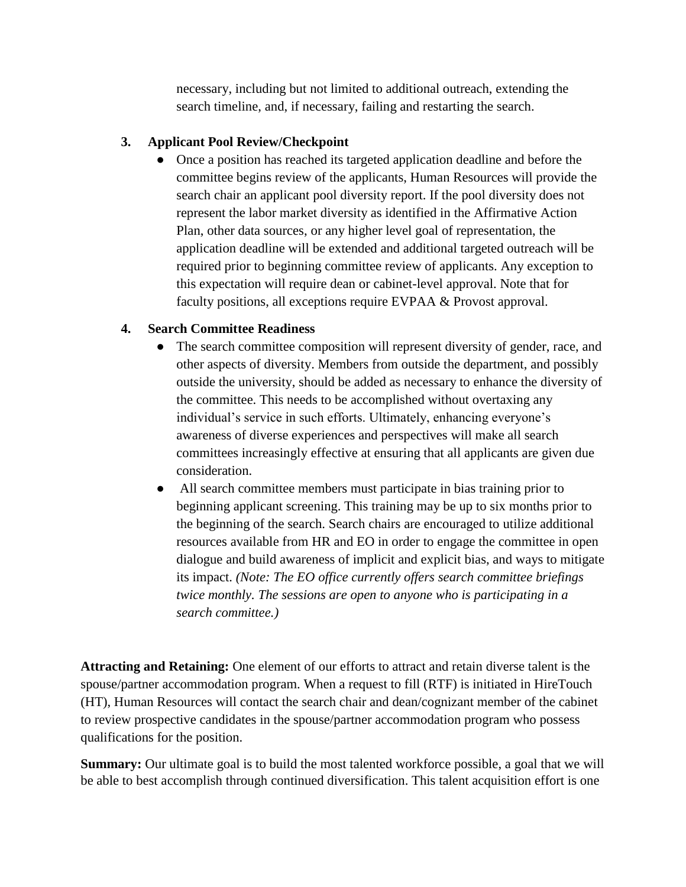necessary, including but not limited to additional outreach, extending the search timeline, and, if necessary, failing and restarting the search.

## **3. Applicant Pool Review/Checkpoint**

• Once a position has reached its targeted application deadline and before the committee begins review of the applicants, Human Resources will provide the search chair an applicant pool diversity report. If the pool diversity does not represent the labor market diversity as identified in the Affirmative Action Plan, other data sources, or any higher level goal of representation, the application deadline will be extended and additional targeted outreach will be required prior to beginning committee review of applicants. Any exception to this expectation will require dean or cabinet-level approval. Note that for faculty positions, all exceptions require EVPAA & Provost approval.

# **4. Search Committee Readiness**

- The search committee composition will represent diversity of gender, race, and other aspects of diversity. Members from outside the department, and possibly outside the university, should be added as necessary to enhance the diversity of the committee. This needs to be accomplished without overtaxing any individual's service in such efforts. Ultimately, enhancing everyone's awareness of diverse experiences and perspectives will make all search committees increasingly effective at ensuring that all applicants are given due consideration.
- All search committee members must participate in bias training prior to beginning applicant screening. This training may be up to six months prior to the beginning of the search. Search chairs are encouraged to utilize additional resources available from HR and EO in order to engage the committee in open dialogue and build awareness of implicit and explicit bias, and ways to mitigate its impact. *(Note: The EO office currently offers search committee briefings twice monthly. The sessions are open to anyone who is participating in a search committee.)*

**Attracting and Retaining:** One element of our efforts to attract and retain diverse talent is the spouse/partner accommodation program. When a request to fill (RTF) is initiated in HireTouch (HT), Human Resources will contact the search chair and dean/cognizant member of the cabinet to review prospective candidates in the spouse/partner accommodation program who possess qualifications for the position.

**Summary:** Our ultimate goal is to build the most talented workforce possible, a goal that we will be able to best accomplish through continued diversification. This talent acquisition effort is one